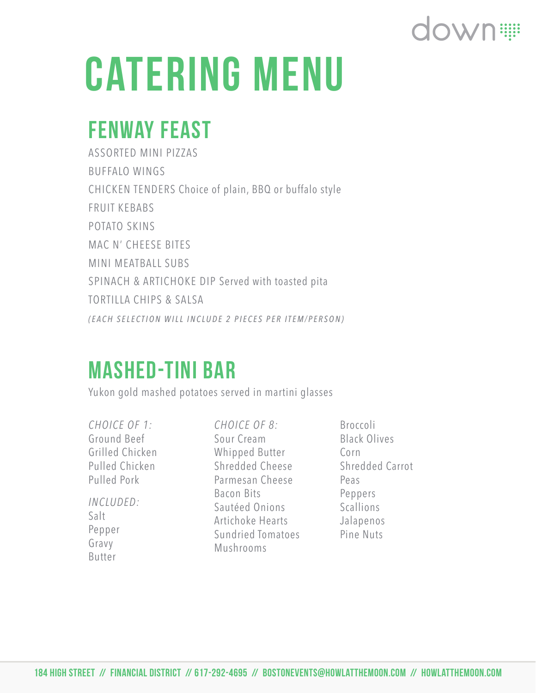# CATERING MENU

### Fenway Feast

ASSORTED MINI PIZZAS BUFFALO WINGS CHICKEN TENDERS Choice of plain, BBQ or buffalo style FRUIT KEBABS POTATO SKINS MAC N' CHEESE BITES MINI MEATBALL SUBS SPINACH & ARTICHOKE DIP Served with toasted pita TORTILLA CHIPS & SALSA *(EACH SELECTION WILL INCLUDE 2 PIECES PER ITEM/PERSON)*

#### Mashed-Tini Bar

Yukon gold mashed potatoes served in martini glasses

*CHOICE OF 1:*  Ground Beef Grilled Chicken Pulled Chicken Pulled Pork *INCLUDED:*  Salt

Pepper Gravy Butter

*CHOICE OF 8:* Sour Cream Whipped Butter Shredded Cheese Parmesan Cheese Bacon Bits Sautéed Onions Artichoke Hearts Sundried Tomatoes Mushrooms

Broccoli Black Olives Corn Shredded Carrot Peas Peppers Scallions Jalapenos Pine Nuts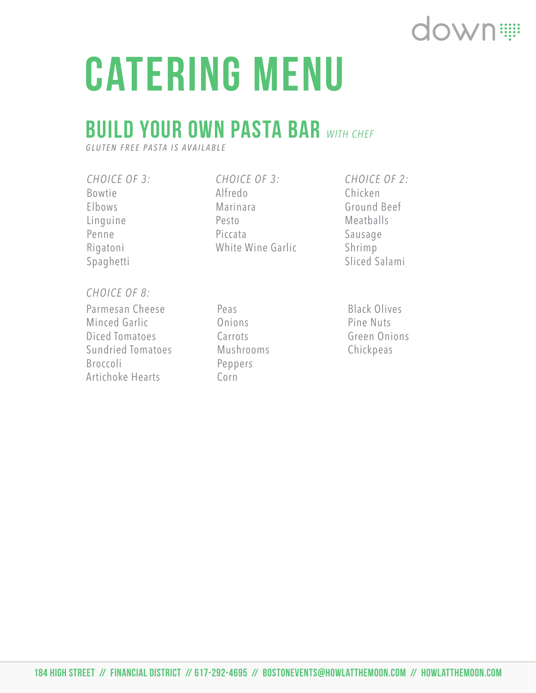# CATERING MENU

### **BUILD YOUR OWN PASTA BAR WITH CHEF**

*GLUTEN FREE PASTA IS AVAILABLE*

*CHOICE OF 3:*  Bowtie Elbows Linguine Penne Rigatoni Spaghetti

*CHOICE OF 3:*  Alfredo Marinara Pesto Piccata White Wine Garlic *CHOICE OF 2:*  Chicken Ground Beef Meatballs Sausage Shrimp Sliced Salami

#### *CHOICE OF 8:*

Parmesan Cheese Minced Garlic Diced Tomatoes Sundried Tomatoes Broccoli Artichoke Hearts

Peas Onions Carrots Mushrooms Peppers Corn

Black Olives Pine Nuts Green Onions Chickpeas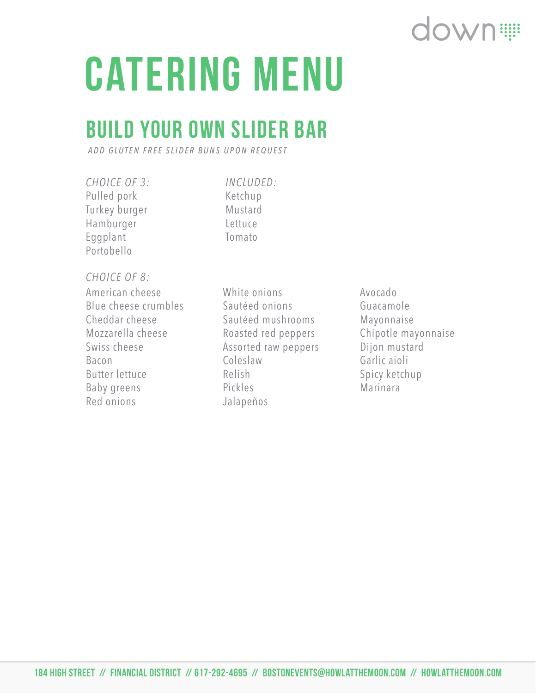# CATERING MENU

### Build Your Own Slider Bar

*ADD GLUTEN FREE SLIDER BUNS UPON REQUEST*

*CHOICE OF 3:*  Pulled pork Turkey burger Hamburger Eggplant Portobello

*INCLUDED:*  Ketchup Mustard Lettuce Tomato

#### *CHOICE OF 8:*

American cheese Blue cheese crumbles Cheddar cheese Mozzarella cheese Swiss cheese Bacon Butter lettuce Baby greens Red onions

White onions Sautéed onions Sautéed mushrooms Roasted red peppers Assorted raw peppers Coleslaw Relish Pickles Jalapeños

Avocado Guacamole Mayonnaise Chipotle mayonnaise Dijon mustard Garlic aioli Spicy ketchup Marinara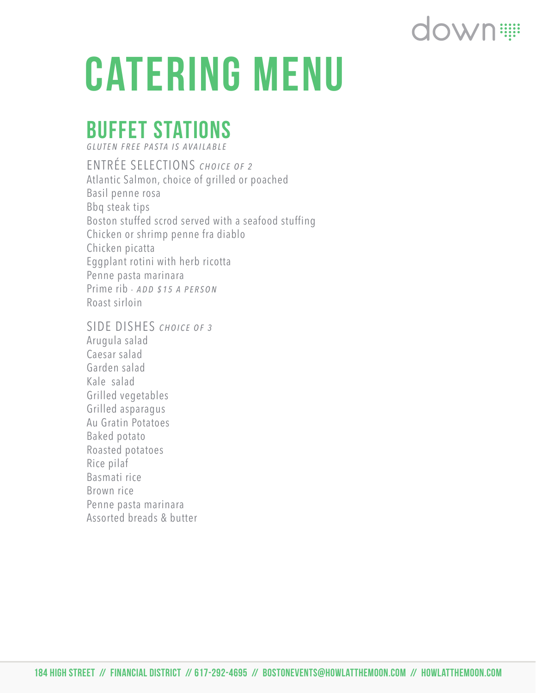## down:

# CATERING MENU

### buffet stations

*GLUTEN FREE PASTA IS AVAILABLE*

ENTRÉE SELECTIONS *CHOICE OF 2* Atlantic Salmon, choice of grilled or poached Basil penne rosa Bbq steak tips Boston stuffed scrod served with a seafood stuffing Chicken or shrimp penne fra diablo Chicken picatta Eggplant rotini with herb ricotta Penne pasta marinara Prime rib *- ADD \$15 A PERSON* Roast sirloin

SIDE DISHES *CHOICE OF 3* Arugula salad Caesar salad Garden salad Kale salad Grilled vegetables Grilled asparagus Au Gratin Potatoes Baked potato Roasted potatoes Rice pilaf Basmati rice Brown rice Penne pasta marinara Assorted breads & butter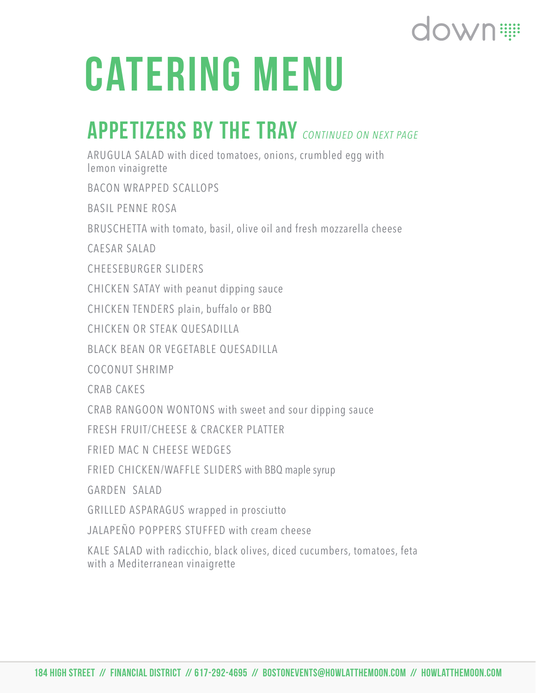## down:

# CATERING MENU

### Appetizers by the tray *CONTINUED ON NEXT PAGE*

ARUGULA SALAD with diced tomatoes, onions, crumbled egg with lemon vinaigrette

BACON WRAPPED SCALLOPS

BASIL PENNE ROSA

BRUSCHETTA with tomato, basil, olive oil and fresh mozzarella cheese

CAESAR SALAD

CHEESEBURGER SLIDERS

CHICKEN SATAY with peanut dipping sauce

CHICKEN TENDERS plain, buffalo or BBQ

CHICKEN OR STEAK QUESADILLA

BLACK BEAN OR VEGETABLE OUESADILLA

COCONUT SHRIMP

CRAB CAKES

CRAB RANGOON WONTONS with sweet and sour dipping sauce

FRESH FRUIT/CHEESE & CRACKER PLATTER

FRIED MAC N CHEESE WEDGES

FRIED CHICKEN/WAFFLE SLIDERS with BBQ maple syrup

GARDEN SALAD

GRILLED ASPARAGUS wrapped in prosciutto

JALAPEÑO POPPERS STUFFED with cream cheese

KALE SALAD with radicchio, black olives, diced cucumbers, tomatoes, feta with a Mediterranean vinaigrette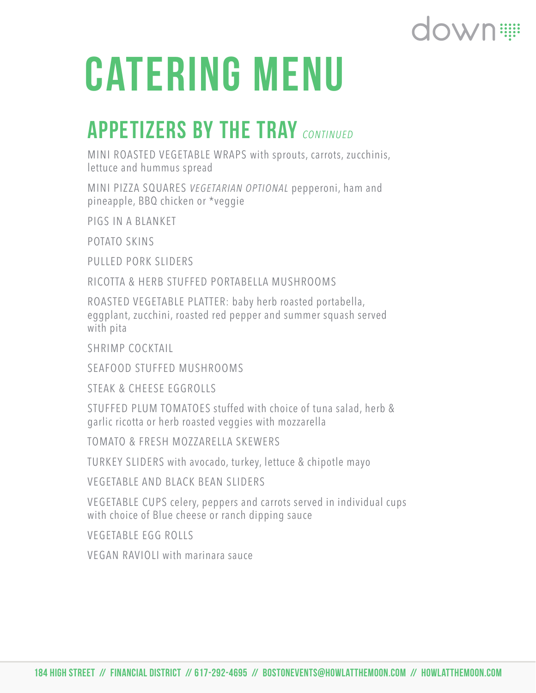# CATERING MENU

### Appetizers by the tray *CONTINUED*

MINI ROASTED VEGETABLE WRAPS with sprouts, carrots, zucchinis, lettuce and hummus spread

MINI PIZZA SQUARES *VEGETARIAN OPTIONAL* pepperoni, ham and pineapple, BBQ chicken or \*veggie

PIGS IN A BLANKET

POTATO SKINS

PULLED PORK SLIDERS

RICOTTA & HERB STUFFED PORTABELLA MUSHROOMS

ROASTED VEGETABLE PLATTER: baby herb roasted portabella, eggplant, zucchini, roasted red pepper and summer squash served with pita

SHRIMP COCKTAIL

SEAFOOD STUFFED MUSHROOMS

STEAK & CHEESE EGGROLLS

STUFFED PLUM TOMATOES stuffed with choice of tuna salad, herb & garlic ricotta or herb roasted veggies with mozzarella

TOMATO & FRESH MOZZARELLA SKEWERS

TURKEY SLIDERS with avocado, turkey, lettuce & chipotle mayo

VEGETABLE AND BLACK BEAN SLIDERS

VEGETABLE CUPS celery, peppers and carrots served in individual cups with choice of Blue cheese or ranch dipping sauce

VEGETABLE EGG ROLLS

VEGAN RAVIOLI with marinara sauce